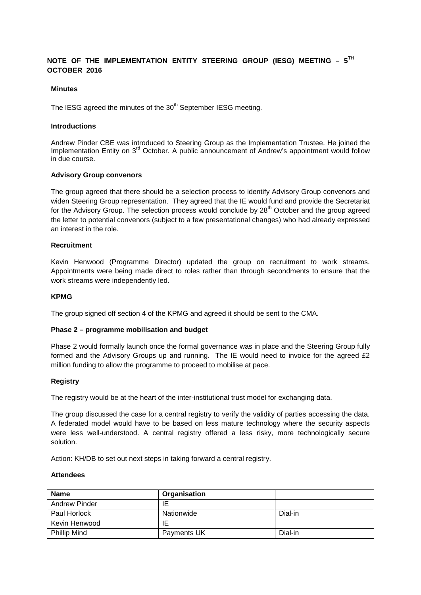# **NOTE OF THE IMPLEMENTATION ENTITY STEERING GROUP (IESG) MEETING – 5TH OCTOBER 2016**

# **Minutes**

The IESG agreed the minutes of the 30<sup>th</sup> September IESG meeting.

#### **Introductions**

Andrew Pinder CBE was introduced to Steering Group as the Implementation Trustee. He joined the Implementation Entity on 3<sup>rd</sup> October. A public announcement of Andrew's appointment would follow in due course.

# **Advisory Group convenors**

The group agreed that there should be a selection process to identify Advisory Group convenors and widen Steering Group representation. They agreed that the IE would fund and provide the Secretariat for the Advisory Group. The selection process would conclude by  $28<sup>th</sup>$  October and the group agreed the letter to potential convenors (subject to a few presentational changes) who had already expressed an interest in the role.

#### **Recruitment**

Kevin Henwood (Programme Director) updated the group on recruitment to work streams. Appointments were being made direct to roles rather than through secondments to ensure that the work streams were independently led.

# **KPMG**

The group signed off section 4 of the KPMG and agreed it should be sent to the CMA.

#### **Phase 2 – programme mobilisation and budget**

Phase 2 would formally launch once the formal governance was in place and the Steering Group fully formed and the Advisory Groups up and running. The IE would need to invoice for the agreed £2 million funding to allow the programme to proceed to mobilise at pace.

#### **Registry**

The registry would be at the heart of the inter-institutional trust model for exchanging data.

The group discussed the case for a central registry to verify the validity of parties accessing the data. A federated model would have to be based on less mature technology where the security aspects were less well-understood. A central registry offered a less risky, more technologically secure solution.

Action: KH/DB to set out next steps in taking forward a central registry.

# **Attendees**

| <b>Name</b>         | Organisation |         |
|---------------------|--------------|---------|
| Andrew Pinder       | ΙE           |         |
| Paul Horlock        | Nationwide   | Dial-in |
| Kevin Henwood       | ΙE           |         |
| <b>Phillip Mind</b> | Payments UK  | Dial-in |